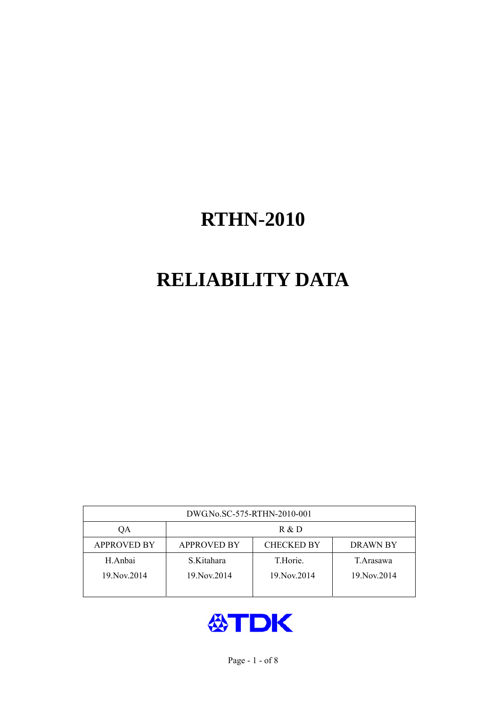# **RELIABILITY DATA**

| DWG.No.SC-575-RTHN-2010-001 |                                                     |               |             |  |  |  |
|-----------------------------|-----------------------------------------------------|---------------|-------------|--|--|--|
| OA                          | R & D                                               |               |             |  |  |  |
| <b>APPROVED BY</b>          | <b>CHECKED BY</b><br><b>APPROVED BY</b><br>DRAWN BY |               |             |  |  |  |
| H.Anbai                     | S.Kitahara                                          | T.Horie.      | T. Arasawa  |  |  |  |
| 19. Nov. 2014               | 19. Nov. 2014                                       | 19. Nov. 2014 | 19 Nov 2014 |  |  |  |
|                             |                                                     |               |             |  |  |  |

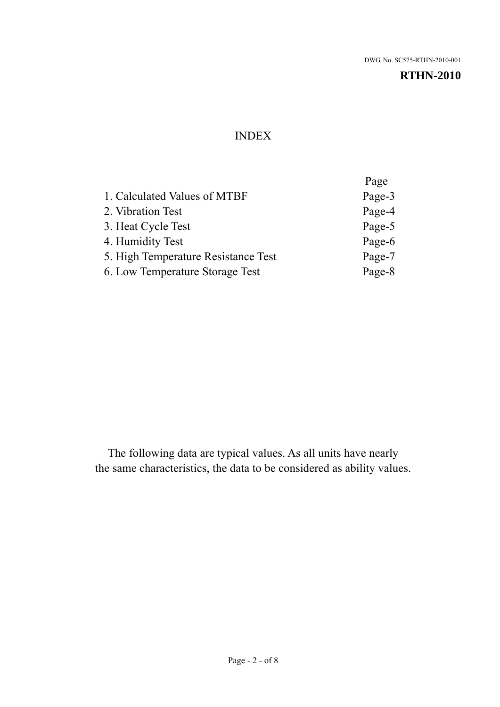#### INDEX

|                                     | Page   |
|-------------------------------------|--------|
| 1. Calculated Values of MTBF        | Page-3 |
| 2. Vibration Test                   | Page-4 |
| 3. Heat Cycle Test                  | Page-5 |
| 4. Humidity Test                    | Page-6 |
| 5. High Temperature Resistance Test | Page-7 |
| 6. Low Temperature Storage Test     | Page-8 |
|                                     |        |

The following data are typical values. As all units have nearly the same characteristics, the data to be considered as ability values.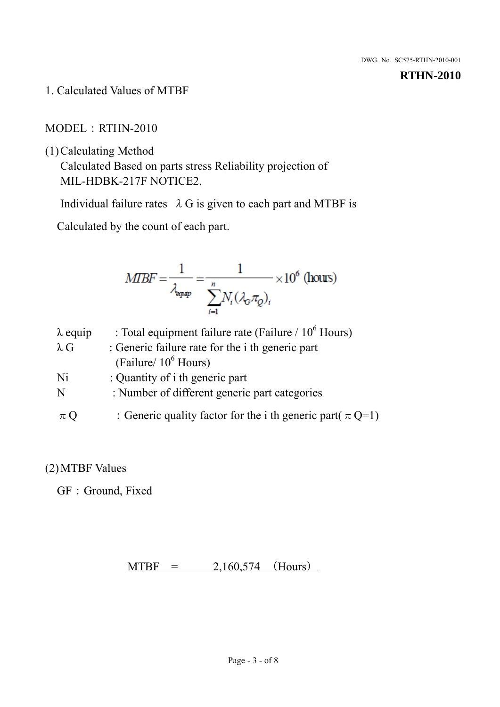1. Calculated Values of MTBF

#### MODEL:RTHN-2010

(1)Calculating Method

Calculated Based on parts stress Reliability projection of MIL-HDBK-217F NOTICE2.

Individual failure rates  $\lambda$  G is given to each part and MTBF is

Calculated by the count of each part.

$$
MBF = \frac{1}{\lambda_{\text{expip}}} = \frac{1}{\sum_{i=1}^{n} N_i (\lambda_{\text{G}} \pi_Q)_i} \times 10^6 \text{ (hours)}
$$

| $\lambda$ equip | : Total equipment failure rate (Failure / $10^6$ Hours)         |
|-----------------|-----------------------------------------------------------------|
| $\lambda$ G     | : Generic failure rate for the <i>i</i> th generic part         |
|                 | (Failure/ $10^6$ Hours)                                         |
| Ni              | : Quantity of i th generic part                                 |
| N               | : Number of different generic part categories                   |
| $\pi Q$         | : Generic quality factor for the i th generic part( $\pi Q=1$ ) |

#### (2)MTBF Values

GF: Ground, Fixed

 $MTBF = 2,160,574$  (Hours)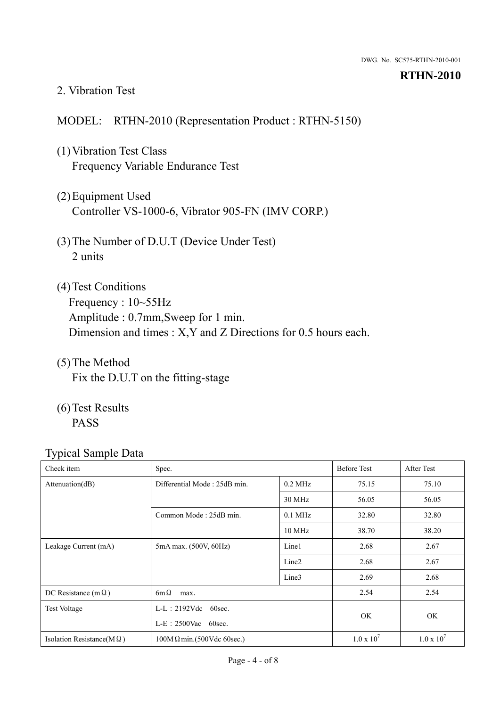#### 2. Vibration Test

#### MODEL: RTHN-2010 (Representation Product : RTHN-5150)

- (1)Vibration Test Class Frequency Variable Endurance Test
- (2)Equipment Used Controller VS-1000-6, Vibrator 905-FN (IMV CORP.)
- (3)The Number of D.U.T (Device Under Test) 2 units
- (4) Test Conditions Frequency : 10~55Hz Amplitude : 0.7mm,Sweep for 1 min. Dimension and times : X,Y and Z Directions for 0.5 hours each.
- (5)The Method Fix the D.U.T on the fitting-stage
- (6)Test Results PASS

| Check item                        | Spec.                            |                   | <b>Before Test</b> | After Test        |
|-----------------------------------|----------------------------------|-------------------|--------------------|-------------------|
| Attenuation(dB)                   | Differential Mode: 25dB min.     | $0.2$ MHz         | 75.15              | 75.10             |
|                                   |                                  | 30 MHz            | 56.05              | 56.05             |
|                                   | Common Mode: 25dB min.           | $0.1$ MHz         | 32.80              | 32.80             |
|                                   |                                  | 10 MHz            | 38.70              | 38.20             |
| Leakage Current (mA)              | 5mA max. (500V, 60Hz)            | Line1             | 2.68               | 2.67              |
|                                   |                                  | Line <sub>2</sub> | 2.68               | 2.67              |
|                                   |                                  | Line3             | 2.69               | 2.68              |
| DC Resistance (m $\Omega$ )       | $6m\Omega$<br>max.               |                   |                    | 2.54              |
| <b>Test Voltage</b>               | $L-L: 2192Vdc$ 60sec.            |                   |                    |                   |
|                                   | $L-E$ : 2500Vac 60sec.           |                   | OK.                | OK                |
| Isolation Resistance( $M\Omega$ ) | $100M\Omega$ min.(500Vdc 60sec.) |                   | $1.0 \times 10^7$  | $1.0 \times 10^7$ |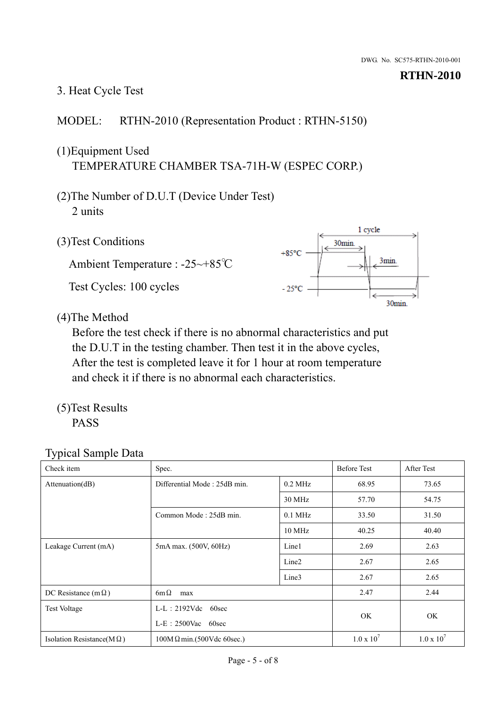# 3. Heat Cycle Test

### MODEL: RTHN-2010 (Representation Product : RTHN-5150)

# (1)Equipment Used TEMPERATURE CHAMBER TSA-71H-W (ESPEC CORP.)

- (2)The Number of D.U.T (Device Under Test) 2 units
- (3)Test Conditions

Ambient Temperature : -25~+85℃ Test Cycles: 100 cycles



(4)The Method

Before the test check if there is no abnormal characteristics and put the D.U.T in the testing chamber. Then test it in the above cycles, After the test is completed leave it for 1 hour at room temperature and check it if there is no abnormal each characteristics.

(5)Test Results PASS

| Check item                        | Spec.                                            |                   | <b>Before Test</b> | After Test          |
|-----------------------------------|--------------------------------------------------|-------------------|--------------------|---------------------|
| Attenuation(dB)                   | Differential Mode: 25dB min.                     | $0.2$ MHz         | 68.95              | 73.65               |
|                                   |                                                  | 30 MHz            | 57.70              | 54.75               |
|                                   | Common Mode: 25dB min.                           | $0.1$ MHz         | 33.50              | 31.50               |
|                                   |                                                  | $10$ MHz          | 40.25              | 40.40               |
| Leakage Current (mA)              | 5mA max. (500V, 60Hz)                            | Line1             | 2.69               | 2.63                |
|                                   |                                                  | Line <sub>2</sub> | 2.67               | 2.65                |
|                                   |                                                  | Line3             | 2.67               | 2.65                |
| DC Resistance (m $\Omega$ )       | $6m\Omega$<br>max                                |                   |                    | 2.44                |
| <b>Test Voltage</b>               | $L-L: 2192Vdc$<br>60sec<br>$L-E$ : 2500Vac 60sec |                   |                    |                     |
|                                   |                                                  |                   | OK.                | <b>OK</b>           |
| Isolation Resistance( $M\Omega$ ) | $100M\Omega$ min.(500Vdc 60sec.)                 |                   | $1.0 \times 10^7$  | $1.0 \times 10^{7}$ |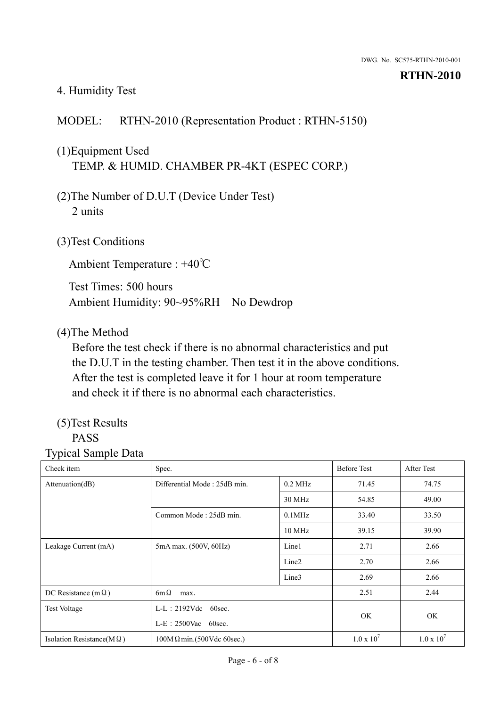#### 4. Humidity Test

#### MODEL: RTHN-2010 (Representation Product : RTHN-5150)

## (1)Equipment Used TEMP. & HUMID. CHAMBER PR-4KT (ESPEC CORP.)

- (2)The Number of D.U.T (Device Under Test) 2 units
- (3)Test Conditions

Ambient Temperature : +40℃

Test Times: 500 hours Ambient Humidity: 90~95%RH No Dewdrop

#### (4)The Method

Before the test check if there is no abnormal characteristics and put the D.U.T in the testing chamber. Then test it in the above conditions. After the test is completed leave it for 1 hour at room temperature and check it if there is no abnormal each characteristics.

#### (5)Test Results PASS

| Check item                        | Spec.                            |                        |       | <b>After Test</b> |
|-----------------------------------|----------------------------------|------------------------|-------|-------------------|
| Attenuation(dB)                   | Differential Mode: 25dB min.     | $0.2$ MHz              | 71.45 | 74.75             |
|                                   |                                  | 30 MHz                 | 54.85 | 49.00             |
|                                   | Common Mode: 25dB min.           | $0.1$ MHz              | 33.40 | 33.50             |
|                                   |                                  | $10$ MHz               | 39.15 | 39.90             |
| Leakage Current (mA)              | 5mA max. (500V, 60Hz)            | Line1                  | 2.71  | 2.66              |
|                                   |                                  | Line <sub>2</sub>      | 2.70  | 2.66              |
|                                   |                                  | Line3                  | 2.69  | 2.66              |
| DC Resistance (m $\Omega$ )       | $6m\Omega$<br>max.               |                        |       | 2.44              |
| <b>Test Voltage</b>               | $L-L$ : 2192Vdc 60sec.           | $L-E$ : 2500Vac 60sec. |       |                   |
|                                   |                                  |                        |       | <b>OK</b>         |
| Isolation Resistance(M $\Omega$ ) | $100M\Omega$ min.(500Vdc 60sec.) |                        |       | $1.0 \times 10^7$ |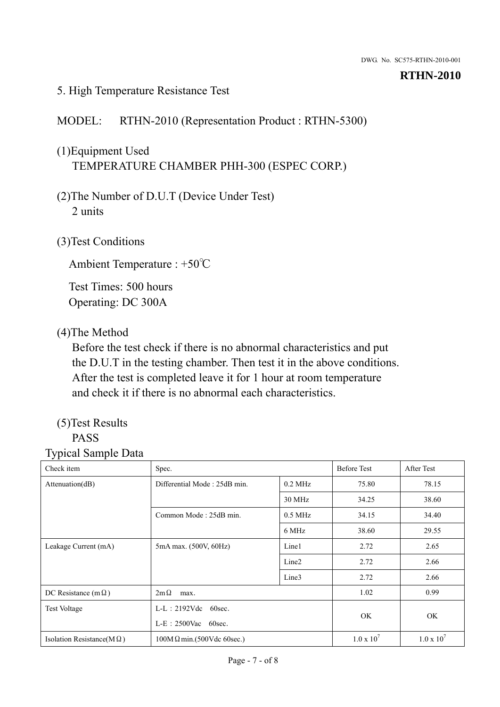#### 5. High Temperature Resistance Test

#### MODEL: RTHN-2010 (Representation Product : RTHN-5300)

# (1)Equipment Used TEMPERATURE CHAMBER PHH-300 (ESPEC CORP.)

- (2)The Number of D.U.T (Device Under Test) 2 units
- (3)Test Conditions

Ambient Temperature : +50℃

Test Times: 500 hours Operating: DC 300A

#### (4)The Method

Before the test check if there is no abnormal characteristics and put the D.U.T in the testing chamber. Then test it in the above conditions. After the test is completed leave it for 1 hour at room temperature and check it if there is no abnormal each characteristics.

#### (5)Test Results PASS

| - <i>;</i> r - - - - - - - - - - - - - - -<br>Check item | Spec.                                            |                   | <b>Before Test</b> | After Test          |
|----------------------------------------------------------|--------------------------------------------------|-------------------|--------------------|---------------------|
|                                                          |                                                  |                   |                    |                     |
| Attenuation(dB)                                          | Differential Mode: 25dB min.                     | $0.2$ MHz         | 75.80              | 78.15               |
|                                                          |                                                  | 30 MHz            | 34.25              | 38.60               |
|                                                          | Common Mode: 25dB min.                           | $0.5$ MHz         | 34.15              | 34.40               |
|                                                          |                                                  | 6 MHz             | 38.60              | 29.55               |
| Leakage Current (mA)                                     | 5mA max. (500V, 60Hz)                            | Line1             | 2.72               | 2.65                |
|                                                          |                                                  | Line <sub>2</sub> | 2.72               | 2.66                |
|                                                          |                                                  | Line3             | 2.72               | 2.66                |
| DC Resistance (m $\Omega$ )                              | $2m\Omega$<br>max.                               |                   |                    | 0.99                |
| <b>Test Voltage</b>                                      | $L-L$ : 2192Vdc 60sec.<br>$L-E$ : 2500Vac 60sec. |                   |                    |                     |
|                                                          |                                                  |                   | OK                 | <b>OK</b>           |
| Isolation Resistance(M $\Omega$ )                        | $100M\Omega$ min.(500Vdc 60sec.)                 |                   | $1.0 \times 10^7$  | $1.0 \times 10^{7}$ |